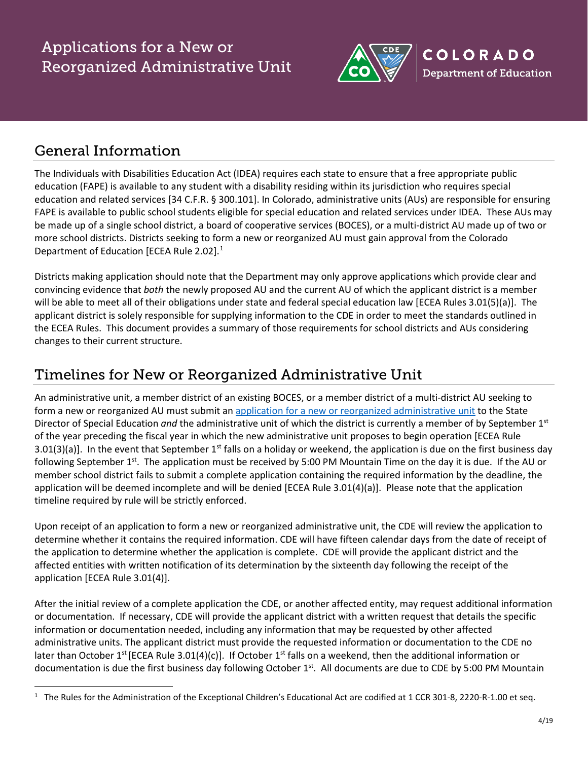

### General Information

The Individuals with Disabilities Education Act (IDEA) requires each state to ensure that a free appropriate public education (FAPE) is available to any student with a disability residing within its jurisdiction who requires special education and related services [34 C.F.R. § 300.101]. In Colorado, administrative units (AUs) are responsible for ensuring FAPE is available to public school students eligible for special education and related services under IDEA. These AUs may be made up of a single school district, a board of cooperative services (BOCES), or a multi-district AU made up of two or more school districts. Districts seeking to form a new or reorganized AU must gain approval from the Colorado Department of Education [ECEA Rule 2.02]. $<sup>1</sup>$  $<sup>1</sup>$  $<sup>1</sup>$ </sup>

Districts making application should note that the Department may only approve applications which provide clear and convincing evidence that *both* the newly proposed AU and the current AU of which the applicant district is a member will be able to meet all of their obligations under state and federal special education law [ECEA Rules 3.01(5)(a)]. The applicant district is solely responsible for supplying information to the CDE in order to meet the standards outlined in the ECEA Rules. This document provides a summary of those requirements for school districts and AUs considering changes to their current structure.

#### Timelines for New or Reorganized Administrative Unit

An administrative unit, a member district of an existing BOCES, or a member district of a multi-district AU seeking to form a new or reorganized AU must submit an [application for a new or reorganized administrative unit](http://www.cde.state.co.us/cdesped/dircorner) to the State Director of Special Education *and* the administrative unit of which the district is currently a member of by September 1st of the year preceding the fiscal year in which the new administrative unit proposes to begin operation [ECEA Rule 3.01(3)(a)]. In the event that September 1st falls on a holiday or weekend, the application is due on the first business day following September  $1^{st}$ . The application must be received by 5:00 PM Mountain Time on the day it is due. If the AU or member school district fails to submit a complete application containing the required information by the deadline, the application will be deemed incomplete and will be denied [ECEA Rule 3.01(4)(a)]. Please note that the application timeline required by rule will be strictly enforced.

Upon receipt of an application to form a new or reorganized administrative unit, the CDE will review the application to determine whether it contains the required information. CDE will have fifteen calendar days from the date of receipt of the application to determine whether the application is complete. CDE will provide the applicant district and the affected entities with written notification of its determination by the sixteenth day following the receipt of the application [ECEA Rule 3.01(4)].

After the initial review of a complete application the CDE, or another affected entity, may request additional information or documentation. If necessary, CDE will provide the applicant district with a written request that details the specific information or documentation needed, including any information that may be requested by other affected administrative units. The applicant district must provide the requested information or documentation to the CDE no later than October 1<sup>st</sup> [ECEA Rule 3.01(4)(c)]. If October 1<sup>st</sup> falls on a weekend, then the additional information or documentation is due the first business day following October 1<sup>st</sup>. All documents are due to CDE by 5:00 PM Mountain

<span id="page-0-0"></span><sup>&</sup>lt;sup>1</sup> The Rules for the Administration of the Exceptional Children's Educational Act are codified at 1 CCR 301-8, 2220-R-1.00 et seq.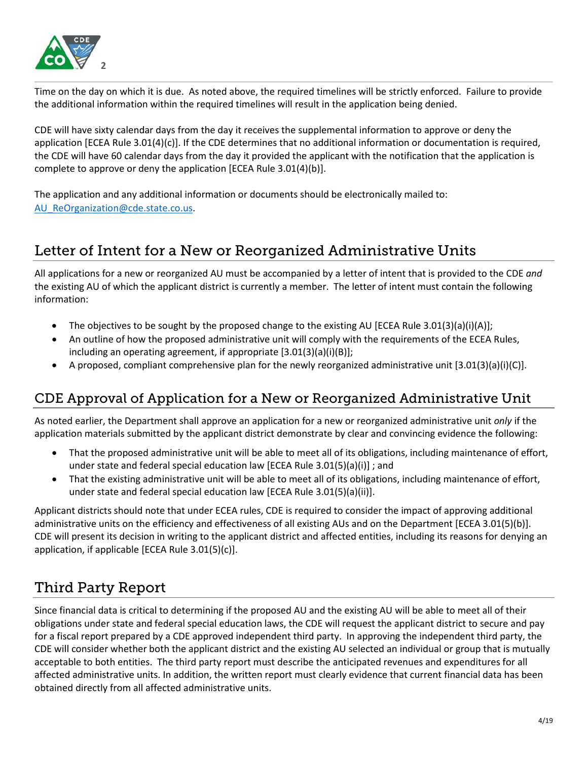

Time on the day on which it is due. As noted above, the required timelines will be strictly enforced. Failure to provide the additional information within the required timelines will result in the application being denied.

CDE will have sixty calendar days from the day it receives the supplemental information to approve or deny the application [ECEA Rule  $3.01(4)(c)$ ]. If the CDE determines that no additional information or documentation is required, the CDE will have 60 calendar days from the day it provided the applicant with the notification that the application is complete to approve or deny the application [ECEA Rule 3.01(4)(b)].

The application and any additional information or documents should be electronically mailed to: AU ReOrganization@cde.state.co.us.

# Letter of Intent for a New or Reorganized Administrative Units

All applications for a new or reorganized AU must be accompanied by a letter of intent that is provided to the CDE *and* the existing AU of which the applicant district is currently a member. The letter of intent must contain the following information:

- The objectives to be sought by the proposed change to the existing AU [ECEA Rule 3.01(3)(a)(i)(A)];
- An outline of how the proposed administrative unit will comply with the requirements of the ECEA Rules, including an operating agreement, if appropriate [3.01(3)(a)(i)(B)];
- A proposed, compliant comprehensive plan for the newly reorganized administrative unit [3.01(3)(a)(i)(C)].

#### CDE Approval of Application for a New or Reorganized Administrative Unit

As noted earlier, the Department shall approve an application for a new or reorganized administrative unit *only* if the application materials submitted by the applicant district demonstrate by clear and convincing evidence the following:

- That the proposed administrative unit will be able to meet all of its obligations, including maintenance of effort, under state and federal special education law [ECEA Rule 3.01(5)(a)(i)] ; and
- That the existing administrative unit will be able to meet all of its obligations, including maintenance of effort, under state and federal special education law [ECEA Rule 3.01(5)(a)(ii)].

Applicant districts should note that under ECEA rules, CDE is required to consider the impact of approving additional administrative units on the efficiency and effectiveness of all existing AUs and on the Department [ECEA 3.01(5)(b)]. CDE will present its decision in writing to the applicant district and affected entities, including its reasons for denying an application, if applicable [ECEA Rule 3.01(5)(c)].

# Third Party Report

Since financial data is critical to determining if the proposed AU and the existing AU will be able to meet all of their obligations under state and federal special education laws, the CDE will request the applicant district to secure and pay for a fiscal report prepared by a CDE approved independent third party. In approving the independent third party, the CDE will consider whether both the applicant district and the existing AU selected an individual or group that is mutually acceptable to both entities. The third party report must describe the anticipated revenues and expenditures for all affected administrative units. In addition, the written report must clearly evidence that current financial data has been obtained directly from all affected administrative units.